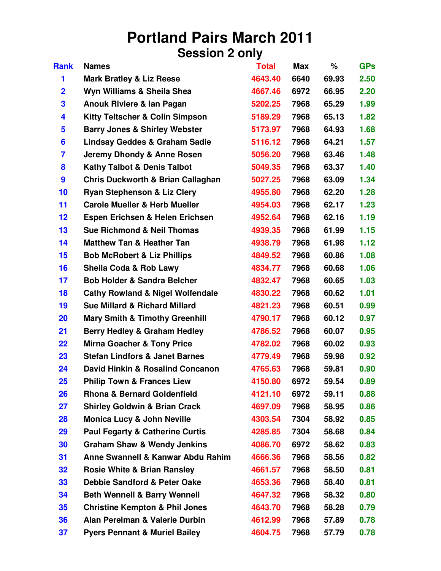## **Portland Pairs March 2011 Session 2 only**

| <b>Rank</b>    | <b>Names</b>                                 | <b>Total</b> | <b>Max</b> | %     | <b>GPs</b> |
|----------------|----------------------------------------------|--------------|------------|-------|------------|
| 1              | <b>Mark Bratley &amp; Liz Reese</b>          | 4643.40      | 6640       | 69.93 | 2.50       |
| $\overline{2}$ | Wyn Williams & Sheila Shea                   | 4667.46      | 6972       | 66.95 | 2.20       |
| 3              | Anouk Riviere & lan Pagan                    | 5202.25      | 7968       | 65.29 | 1.99       |
| 4              | <b>Kitty Teltscher &amp; Colin Simpson</b>   | 5189.29      | 7968       | 65.13 | 1.82       |
| 5              | <b>Barry Jones &amp; Shirley Webster</b>     | 5173.97      | 7968       | 64.93 | 1.68       |
| 6              | Lindsay Geddes & Graham Sadie                | 5116.12      | 7968       | 64.21 | 1.57       |
| 7              | Jeremy Dhondy & Anne Rosen                   | 5056.20      | 7968       | 63.46 | 1.48       |
| 8              | <b>Kathy Talbot &amp; Denis Talbot</b>       | 5049.35      | 7968       | 63.37 | 1.40       |
| 9              | <b>Chris Duckworth &amp; Brian Callaghan</b> | 5027.25      | 7968       | 63.09 | 1.34       |
| 10             | <b>Ryan Stephenson &amp; Liz Clery</b>       | 4955.80      | 7968       | 62.20 | 1.28       |
| 11             | <b>Carole Mueller &amp; Herb Mueller</b>     | 4954.03      | 7968       | 62.17 | 1.23       |
| 12             | Espen Erichsen & Helen Erichsen              | 4952.64      | 7968       | 62.16 | 1.19       |
| 13             | <b>Sue Richmond &amp; Neil Thomas</b>        | 4939.35      | 7968       | 61.99 | 1.15       |
| 14             | <b>Matthew Tan &amp; Heather Tan</b>         | 4938.79      | 7968       | 61.98 | 1.12       |
| 15             | <b>Bob McRobert &amp; Liz Phillips</b>       | 4849.52      | 7968       | 60.86 | 1.08       |
| 16             | Sheila Coda & Rob Lawy                       | 4834.77      | 7968       | 60.68 | 1.06       |
| 17             | <b>Bob Holder &amp; Sandra Belcher</b>       | 4832.47      | 7968       | 60.65 | 1.03       |
| 18             | <b>Cathy Rowland &amp; Nigel Wolfendale</b>  | 4830.22      | 7968       | 60.62 | 1.01       |
| 19             | <b>Sue Millard &amp; Richard Millard</b>     | 4821.23      | 7968       | 60.51 | 0.99       |
| 20             | <b>Mary Smith &amp; Timothy Greenhill</b>    | 4790.17      | 7968       | 60.12 | 0.97       |
| 21             | <b>Berry Hedley &amp; Graham Hedley</b>      | 4786.52      | 7968       | 60.07 | 0.95       |
| 22             | <b>Mirna Goacher &amp; Tony Price</b>        | 4782.02      | 7968       | 60.02 | 0.93       |
| 23             | <b>Stefan Lindfors &amp; Janet Barnes</b>    | 4779.49      | 7968       | 59.98 | 0.92       |
| 24             | David Hinkin & Rosalind Concanon             | 4765.63      | 7968       | 59.81 | 0.90       |
| 25             | <b>Philip Town &amp; Frances Liew</b>        | 4150.80      | 6972       | 59.54 | 0.89       |
| 26             | <b>Rhona &amp; Bernard Goldenfield</b>       | 4121.10      | 6972       | 59.11 | 0.88       |
| 27             | <b>Shirley Goldwin &amp; Brian Crack</b>     | 4697.09      | 7968       | 58.95 | 0.86       |
| 28             | <b>Monica Lucy &amp; John Neville</b>        | 4303.54      | 7304       | 58.92 | 0.85       |
| 29             | <b>Paul Fegarty &amp; Catherine Curtis</b>   | 4285.85      | 7304       | 58.68 | 0.84       |
| 30             | <b>Graham Shaw &amp; Wendy Jenkins</b>       | 4086.70      | 6972       | 58.62 | 0.83       |
| 31             | Anne Swannell & Kanwar Abdu Rahim            | 4666.36      | 7968       | 58.56 | 0.82       |
| 32             | <b>Rosie White &amp; Brian Ransley</b>       | 4661.57      | 7968       | 58.50 | 0.81       |
| 33             | <b>Debbie Sandford &amp; Peter Oake</b>      | 4653.36      | 7968       | 58.40 | 0.81       |
| 34             | <b>Beth Wennell &amp; Barry Wennell</b>      | 4647.32      | 7968       | 58.32 | 0.80       |
| 35             | <b>Christine Kempton &amp; Phil Jones</b>    | 4643.70      | 7968       | 58.28 | 0.79       |
| 36             | Alan Perelman & Valerie Durbin               | 4612.99      | 7968       | 57.89 | 0.78       |
| 37             | <b>Pyers Pennant &amp; Muriel Bailey</b>     | 4604.75      | 7968       | 57.79 | 0.78       |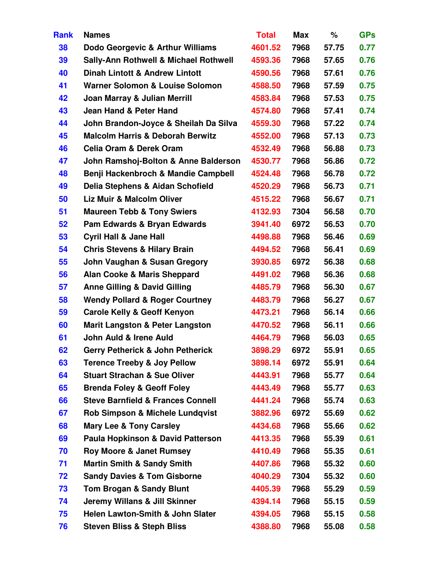| <b>Rank</b> | <b>Names</b>                                     | <b>Total</b> | <b>Max</b> | %     | <b>GPs</b> |
|-------------|--------------------------------------------------|--------------|------------|-------|------------|
| 38          | Dodo Georgevic & Arthur Williams                 | 4601.52      | 7968       | 57.75 | 0.77       |
| 39          | <b>Sally-Ann Rothwell &amp; Michael Rothwell</b> | 4593.36      | 7968       | 57.65 | 0.76       |
| 40          | <b>Dinah Lintott &amp; Andrew Lintott</b>        | 4590.56      | 7968       | 57.61 | 0.76       |
| 41          | Warner Solomon & Louise Solomon                  | 4588.50      | 7968       | 57.59 | 0.75       |
| 42          | Joan Marray & Julian Merrill                     | 4583.84      | 7968       | 57.53 | 0.75       |
| 43          | Jean Hand & Peter Hand                           | 4574.80      | 7968       | 57.41 | 0.74       |
| 44          | John Brandon-Joyce & Sheilah Da Silva            | 4559.30      | 7968       | 57.22 | 0.74       |
| 45          | <b>Malcolm Harris &amp; Deborah Berwitz</b>      | 4552.00      | 7968       | 57.13 | 0.73       |
| 46          | <b>Celia Oram &amp; Derek Oram</b>               | 4532.49      | 7968       | 56.88 | 0.73       |
| 47          | John Ramshoj-Bolton & Anne Balderson             | 4530.77      | 7968       | 56.86 | 0.72       |
| 48          | Benji Hackenbroch & Mandie Campbell              | 4524.48      | 7968       | 56.78 | 0.72       |
| 49          | Delia Stephens & Aidan Schofield                 | 4520.29      | 7968       | 56.73 | 0.71       |
| 50          | Liz Muir & Malcolm Oliver                        | 4515.22      | 7968       | 56.67 | 0.71       |
| 51          | <b>Maureen Tebb &amp; Tony Swiers</b>            | 4132.93      | 7304       | 56.58 | 0.70       |
| 52          | Pam Edwards & Bryan Edwards                      | 3941.40      | 6972       | 56.53 | 0.70       |
| 53          | <b>Cyril Hall &amp; Jane Hall</b>                | 4498.88      | 7968       | 56.46 | 0.69       |
| 54          | <b>Chris Stevens &amp; Hilary Brain</b>          | 4494.52      | 7968       | 56.41 | 0.69       |
| 55          | John Vaughan & Susan Gregory                     | 3930.85      | 6972       | 56.38 | 0.68       |
| 56          | <b>Alan Cooke &amp; Maris Sheppard</b>           | 4491.02      | 7968       | 56.36 | 0.68       |
| 57          | <b>Anne Gilling &amp; David Gilling</b>          | 4485.79      | 7968       | 56.30 | 0.67       |
| 58          | <b>Wendy Pollard &amp; Roger Courtney</b>        | 4483.79      | 7968       | 56.27 | 0.67       |
| 59          | <b>Carole Kelly &amp; Geoff Kenyon</b>           | 4473.21      | 7968       | 56.14 | 0.66       |
| 60          | <b>Marit Langston &amp; Peter Langston</b>       | 4470.52      | 7968       | 56.11 | 0.66       |
| 61          | John Auld & Irene Auld                           | 4464.79      | 7968       | 56.03 | 0.65       |
| 62          | <b>Gerry Petherick &amp; John Petherick</b>      | 3898.29      | 6972       | 55.91 | 0.65       |
| 63          | <b>Terence Treeby &amp; Joy Pellow</b>           | 3898.14      | 6972       | 55.91 | 0.64       |
| 64          | <b>Stuart Strachan &amp; Sue Oliver</b>          | 4443.91      | 7968       | 55.77 | 0.64       |
| 65          | <b>Brenda Foley &amp; Geoff Foley</b>            | 4443.49      | 7968       | 55.77 | 0.63       |
| 66          | <b>Steve Barnfield &amp; Frances Connell</b>     | 4441.24      | 7968       | 55.74 | 0.63       |
| 67          | Rob Simpson & Michele Lundqvist                  | 3882.96      | 6972       | 55.69 | 0.62       |
| 68          | <b>Mary Lee &amp; Tony Carsley</b>               | 4434.68      | 7968       | 55.66 | 0.62       |
| 69          | <b>Paula Hopkinson &amp; David Patterson</b>     | 4413.35      | 7968       | 55.39 | 0.61       |
| 70          | <b>Roy Moore &amp; Janet Rumsey</b>              | 4410.49      | 7968       | 55.35 | 0.61       |
| 71          | <b>Martin Smith &amp; Sandy Smith</b>            | 4407.86      | 7968       | 55.32 | 0.60       |
| 72          | <b>Sandy Davies &amp; Tom Gisborne</b>           | 4040.29      | 7304       | 55.32 | 0.60       |
| 73          | <b>Tom Brogan &amp; Sandy Blunt</b>              | 4405.39      | 7968       | 55.29 | 0.59       |
| 74          | <b>Jeremy Willans &amp; Jill Skinner</b>         | 4394.14      | 7968       | 55.15 | 0.59       |
| 75          | Helen Lawton-Smith & John Slater                 | 4394.05      | 7968       | 55.15 | 0.58       |
| 76          | <b>Steven Bliss &amp; Steph Bliss</b>            | 4388.80      | 7968       | 55.08 | 0.58       |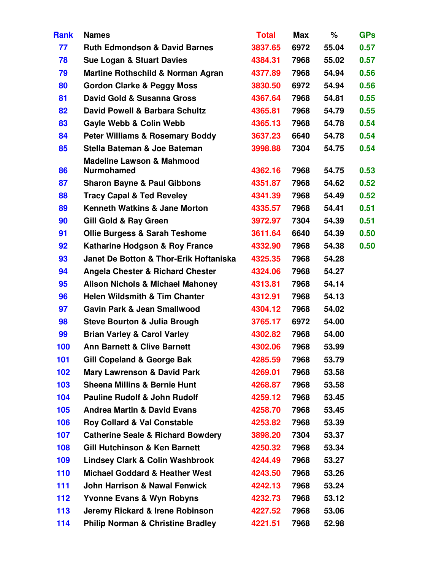| <b>Rank</b> | <b>Names</b>                                              | <b>Total</b> | Max  | %     | <b>GPs</b> |
|-------------|-----------------------------------------------------------|--------------|------|-------|------------|
| 77          | <b>Ruth Edmondson &amp; David Barnes</b>                  | 3837.65      | 6972 | 55.04 | 0.57       |
| 78          | <b>Sue Logan &amp; Stuart Davies</b>                      | 4384.31      | 7968 | 55.02 | 0.57       |
| 79          | <b>Martine Rothschild &amp; Norman Agran</b>              | 4377.89      | 7968 | 54.94 | 0.56       |
| 80          | <b>Gordon Clarke &amp; Peggy Moss</b>                     | 3830.50      | 6972 | 54.94 | 0.56       |
| 81          | David Gold & Susanna Gross                                | 4367.64      | 7968 | 54.81 | 0.55       |
| 82          | David Powell & Barbara Schultz                            | 4365.81      | 7968 | 54.79 | 0.55       |
| 83          | Gayle Webb & Colin Webb                                   | 4365.13      | 7968 | 54.78 | 0.54       |
| 84          | <b>Peter Williams &amp; Rosemary Boddy</b>                | 3637.23      | 6640 | 54.78 | 0.54       |
| 85          | Stella Bateman & Joe Bateman                              | 3998.88      | 7304 | 54.75 | 0.54       |
| 86          | <b>Madeline Lawson &amp; Mahmood</b><br><b>Nurmohamed</b> | 4362.16      | 7968 | 54.75 | 0.53       |
| 87          | <b>Sharon Bayne &amp; Paul Gibbons</b>                    | 4351.87      | 7968 | 54.62 | 0.52       |
| 88          | <b>Tracy Capal &amp; Ted Reveley</b>                      | 4341.39      | 7968 | 54.49 | 0.52       |
| 89          | <b>Kenneth Watkins &amp; Jane Morton</b>                  | 4335.57      | 7968 | 54.41 | 0.51       |
| 90          | <b>Gill Gold &amp; Ray Green</b>                          | 3972.97      | 7304 | 54.39 | 0.51       |
| 91          | <b>Ollie Burgess &amp; Sarah Teshome</b>                  | 3611.64      | 6640 | 54.39 | 0.50       |
| 92          | Katharine Hodgson & Roy France                            | 4332.90      | 7968 | 54.38 | 0.50       |
| 93          | Janet De Botton & Thor-Erik Hoftaniska                    | 4325.35      | 7968 | 54.28 |            |
| 94          | <b>Angela Chester &amp; Richard Chester</b>               | 4324.06      | 7968 | 54.27 |            |
| 95          | <b>Alison Nichols &amp; Michael Mahoney</b>               | 4313.81      | 7968 | 54.14 |            |
| 96          | <b>Helen Wildsmith &amp; Tim Chanter</b>                  | 4312.91      | 7968 | 54.13 |            |
| 97          | <b>Gavin Park &amp; Jean Smallwood</b>                    | 4304.12      | 7968 | 54.02 |            |
| 98          | <b>Steve Bourton &amp; Julia Brough</b>                   | 3765.17      | 6972 | 54.00 |            |
| 99          | <b>Brian Varley &amp; Carol Varley</b>                    | 4302.82      | 7968 | 54.00 |            |
| 100         | <b>Ann Barnett &amp; Clive Barnett</b>                    | 4302.06      | 7968 | 53.99 |            |
| 101         | Gill Copeland & George Bak                                | 4285.59      | 7968 | 53.79 |            |
| 102         | <b>Mary Lawrenson &amp; David Park</b>                    | 4269.01      | 7968 | 53.58 |            |
| 103         | <b>Sheena Millins &amp; Bernie Hunt</b>                   | 4268.87      | 7968 | 53.58 |            |
| 104         | <b>Pauline Rudolf &amp; John Rudolf</b>                   | 4259.12      | 7968 | 53.45 |            |
| 105         | <b>Andrea Martin &amp; David Evans</b>                    | 4258.70      | 7968 | 53.45 |            |
| 106         | <b>Roy Collard &amp; Val Constable</b>                    | 4253.82      | 7968 | 53.39 |            |
| 107         | <b>Catherine Seale &amp; Richard Bowdery</b>              | 3898.20      | 7304 | 53.37 |            |
| 108         | <b>Gill Hutchinson &amp; Ken Barnett</b>                  | 4250.32      | 7968 | 53.34 |            |
| 109         | <b>Lindsey Clark &amp; Colin Washbrook</b>                | 4244.49      | 7968 | 53.27 |            |
| 110         | <b>Michael Goddard &amp; Heather West</b>                 | 4243.50      | 7968 | 53.26 |            |
| 111         | <b>John Harrison &amp; Nawal Fenwick</b>                  | 4242.13      | 7968 | 53.24 |            |
| 112         | <b>Yvonne Evans &amp; Wyn Robyns</b>                      | 4232.73      | 7968 | 53.12 |            |
| 113         | Jeremy Rickard & Irene Robinson                           | 4227.52      | 7968 | 53.06 |            |
| 114         | <b>Philip Norman &amp; Christine Bradley</b>              | 4221.51      | 7968 | 52.98 |            |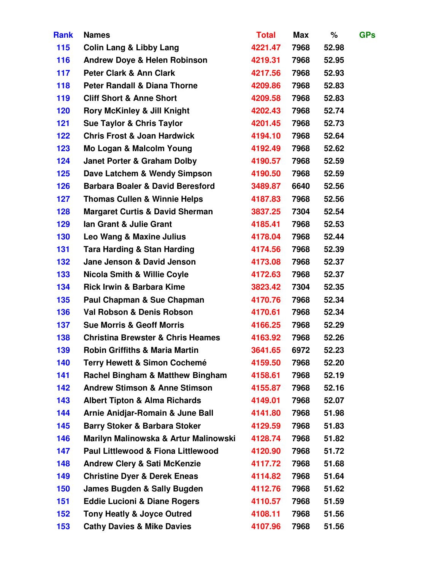| <b>Rank</b> | <b>Names</b>                                 | <b>Total</b> | <b>Max</b> | %     | <b>GPs</b> |
|-------------|----------------------------------------------|--------------|------------|-------|------------|
| 115         | <b>Colin Lang &amp; Libby Lang</b>           | 4221.47      | 7968       | 52.98 |            |
| 116         | <b>Andrew Doye &amp; Helen Robinson</b>      | 4219.31      | 7968       | 52.95 |            |
| 117         | <b>Peter Clark &amp; Ann Clark</b>           | 4217.56      | 7968       | 52.93 |            |
| 118         | <b>Peter Randall &amp; Diana Thorne</b>      | 4209.86      | 7968       | 52.83 |            |
| 119         | <b>Cliff Short &amp; Anne Short</b>          | 4209.58      | 7968       | 52.83 |            |
| 120         | <b>Rory McKinley &amp; Jill Knight</b>       | 4202.43      | 7968       | 52.74 |            |
| 121         | <b>Sue Taylor &amp; Chris Taylor</b>         | 4201.45      | 7968       | 52.73 |            |
| 122         | <b>Chris Frost &amp; Joan Hardwick</b>       | 4194.10      | 7968       | 52.64 |            |
| 123         | Mo Logan & Malcolm Young                     | 4192.49      | 7968       | 52.62 |            |
| 124         | <b>Janet Porter &amp; Graham Dolby</b>       | 4190.57      | 7968       | 52.59 |            |
| 125         | Dave Latchem & Wendy Simpson                 | 4190.50      | 7968       | 52.59 |            |
| 126         | <b>Barbara Boaler &amp; David Beresford</b>  | 3489.87      | 6640       | 52.56 |            |
| 127         | <b>Thomas Cullen &amp; Winnie Helps</b>      | 4187.83      | 7968       | 52.56 |            |
| 128         | <b>Margaret Curtis &amp; David Sherman</b>   | 3837.25      | 7304       | 52.54 |            |
| 129         | Ian Grant & Julie Grant                      | 4185.41      | 7968       | 52.53 |            |
| 130         | Leo Wang & Maxine Julius                     | 4178.04      | 7968       | 52.44 |            |
| 131         | <b>Tara Harding &amp; Stan Harding</b>       | 4174.56      | 7968       | 52.39 |            |
| 132         | Jane Jenson & David Jenson                   | 4173.08      | 7968       | 52.37 |            |
| 133         | <b>Nicola Smith &amp; Willie Coyle</b>       | 4172.63      | 7968       | 52.37 |            |
| 134         | <b>Rick Irwin &amp; Barbara Kime</b>         | 3823.42      | 7304       | 52.35 |            |
| 135         | Paul Chapman & Sue Chapman                   | 4170.76      | 7968       | 52.34 |            |
| 136         | Val Robson & Denis Robson                    | 4170.61      | 7968       | 52.34 |            |
| 137         | <b>Sue Morris &amp; Geoff Morris</b>         | 4166.25      | 7968       | 52.29 |            |
| 138         | <b>Christina Brewster &amp; Chris Heames</b> | 4163.92      | 7968       | 52.26 |            |
| 139         | <b>Robin Griffiths &amp; Maria Martin</b>    | 3641.65      | 6972       | 52.23 |            |
| 140         | <b>Terry Hewett &amp; Simon Cochemé</b>      | 4159.50      | 7968       | 52.20 |            |
| 141         | <b>Rachel Bingham &amp; Matthew Bingham</b>  | 4158.61      | 7968       | 52.19 |            |
| 142         | <b>Andrew Stimson &amp; Anne Stimson</b>     | 4155.87      | 7968       | 52.16 |            |
| 143         | <b>Albert Tipton &amp; Alma Richards</b>     | 4149.01      | 7968       | 52.07 |            |
| 144         | Arnie Anidjar-Romain & June Ball             | 4141.80      | 7968       | 51.98 |            |
| 145         | <b>Barry Stoker &amp; Barbara Stoker</b>     | 4129.59      | 7968       | 51.83 |            |
| 146         | Marilyn Malinowska & Artur Malinowski        | 4128.74      | 7968       | 51.82 |            |
| 147         | Paul Littlewood & Fiona Littlewood           | 4120.90      | 7968       | 51.72 |            |
| 148         | <b>Andrew Clery &amp; Sati McKenzie</b>      | 4117.72      | 7968       | 51.68 |            |
| 149         | <b>Christine Dyer &amp; Derek Eneas</b>      | 4114.82      | 7968       | 51.64 |            |
| 150         | <b>James Bugden &amp; Sally Bugden</b>       | 4112.76      | 7968       | 51.62 |            |
| 151         | <b>Eddie Lucioni &amp; Diane Rogers</b>      | 4110.57      | 7968       | 51.59 |            |
| 152         | <b>Tony Heatly &amp; Joyce Outred</b>        | 4108.11      | 7968       | 51.56 |            |
| 153         | <b>Cathy Davies &amp; Mike Davies</b>        | 4107.96      | 7968       | 51.56 |            |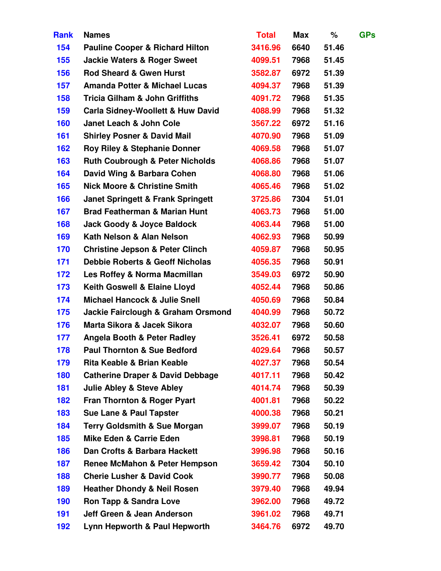| <b>Rank</b> | <b>Names</b>                                 | <b>Total</b> | <b>Max</b> | %     | <b>GPs</b> |
|-------------|----------------------------------------------|--------------|------------|-------|------------|
| 154         | <b>Pauline Cooper &amp; Richard Hilton</b>   | 3416.96      | 6640       | 51.46 |            |
| 155         | <b>Jackie Waters &amp; Roger Sweet</b>       | 4099.51      | 7968       | 51.45 |            |
| 156         | <b>Rod Sheard &amp; Gwen Hurst</b>           | 3582.87      | 6972       | 51.39 |            |
| 157         | <b>Amanda Potter &amp; Michael Lucas</b>     | 4094.37      | 7968       | 51.39 |            |
| 158         | <b>Tricia Gilham &amp; John Griffiths</b>    | 4091.72      | 7968       | 51.35 |            |
| 159         | <b>Carla Sidney-Woollett &amp; Huw David</b> | 4088.99      | 7968       | 51.32 |            |
| 160         | Janet Leach & John Cole                      | 3567.22      | 6972       | 51.16 |            |
| 161         | <b>Shirley Posner &amp; David Mail</b>       | 4070.90      | 7968       | 51.09 |            |
| 162         | <b>Roy Riley &amp; Stephanie Donner</b>      | 4069.58      | 7968       | 51.07 |            |
| 163         | <b>Ruth Coubrough &amp; Peter Nicholds</b>   | 4068.86      | 7968       | 51.07 |            |
| 164         | David Wing & Barbara Cohen                   | 4068.80      | 7968       | 51.06 |            |
| 165         | <b>Nick Moore &amp; Christine Smith</b>      | 4065.46      | 7968       | 51.02 |            |
| 166         | <b>Janet Springett &amp; Frank Springett</b> | 3725.86      | 7304       | 51.01 |            |
| 167         | <b>Brad Featherman &amp; Marian Hunt</b>     | 4063.73      | 7968       | 51.00 |            |
| 168         | <b>Jack Goody &amp; Joyce Baldock</b>        | 4063.44      | 7968       | 51.00 |            |
| 169         | Kath Nelson & Alan Nelson                    | 4062.93      | 7968       | 50.99 |            |
| 170         | <b>Christine Jepson &amp; Peter Clinch</b>   | 4059.87      | 7968       | 50.95 |            |
| 171         | <b>Debbie Roberts &amp; Geoff Nicholas</b>   | 4056.35      | 7968       | 50.91 |            |
| 172         | Les Roffey & Norma Macmillan                 | 3549.03      | 6972       | 50.90 |            |
| 173         | Keith Goswell & Elaine Lloyd                 | 4052.44      | 7968       | 50.86 |            |
| 174         | <b>Michael Hancock &amp; Julie Snell</b>     | 4050.69      | 7968       | 50.84 |            |
| 175         | Jackie Fairclough & Graham Orsmond           | 4040.99      | 7968       | 50.72 |            |
| 176         | Marta Sikora & Jacek Sikora                  | 4032.07      | 7968       | 50.60 |            |
| 177         | <b>Angela Booth &amp; Peter Radley</b>       | 3526.41      | 6972       | 50.58 |            |
| 178         | <b>Paul Thornton &amp; Sue Bedford</b>       | 4029.64      | 7968       | 50.57 |            |
| 179         | Rita Keable & Brian Keable                   | 4027.37      | 7968       | 50.54 |            |
| 180         | <b>Catherine Draper &amp; David Debbage</b>  | 4017.11      | 7968       | 50.42 |            |
| 181         | <b>Julie Abley &amp; Steve Abley</b>         | 4014.74      | 7968       | 50.39 |            |
| 182         | <b>Fran Thornton &amp; Roger Pyart</b>       | 4001.81      | 7968       | 50.22 |            |
| 183         | <b>Sue Lane &amp; Paul Tapster</b>           | 4000.38      | 7968       | 50.21 |            |
| 184         | <b>Terry Goldsmith &amp; Sue Morgan</b>      | 3999.07      | 7968       | 50.19 |            |
| 185         | <b>Mike Eden &amp; Carrie Eden</b>           | 3998.81      | 7968       | 50.19 |            |
| 186         | Dan Crofts & Barbara Hackett                 | 3996.98      | 7968       | 50.16 |            |
| 187         | Renee McMahon & Peter Hempson                | 3659.42      | 7304       | 50.10 |            |
| 188         | <b>Cherie Lusher &amp; David Cook</b>        | 3990.77      | 7968       | 50.08 |            |
| 189         | <b>Heather Dhondy &amp; Neil Rosen</b>       | 3979.40      | 7968       | 49.94 |            |
| 190         | <b>Ron Tapp &amp; Sandra Love</b>            | 3962.00      | 7968       | 49.72 |            |
| 191         | Jeff Green & Jean Anderson                   | 3961.02      | 7968       | 49.71 |            |
| 192         | Lynn Hepworth & Paul Hepworth                | 3464.76      | 6972       | 49.70 |            |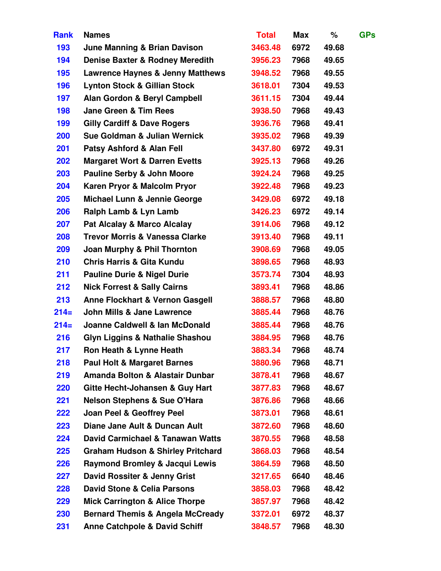| <b>Rank</b> | <b>Names</b>                                 | <b>Total</b> | <b>Max</b> | %     | <b>GPs</b> |
|-------------|----------------------------------------------|--------------|------------|-------|------------|
| 193         | <b>June Manning &amp; Brian Davison</b>      | 3463.48      | 6972       | 49.68 |            |
| 194         | <b>Denise Baxter &amp; Rodney Meredith</b>   | 3956.23      | 7968       | 49.65 |            |
| 195         | <b>Lawrence Haynes &amp; Jenny Matthews</b>  | 3948.52      | 7968       | 49.55 |            |
| 196         | <b>Lynton Stock &amp; Gillian Stock</b>      | 3618.01      | 7304       | 49.53 |            |
| 197         | Alan Gordon & Beryl Campbell                 | 3611.15      | 7304       | 49.44 |            |
| 198         | <b>Jane Green &amp; Tim Rees</b>             | 3938.50      | 7968       | 49.43 |            |
| 199         | <b>Gilly Cardiff &amp; Dave Rogers</b>       | 3936.76      | 7968       | 49.41 |            |
| 200         | Sue Goldman & Julian Wernick                 | 3935.02      | 7968       | 49.39 |            |
| 201         | Patsy Ashford & Alan Fell                    | 3437.80      | 6972       | 49.31 |            |
| 202         | <b>Margaret Wort &amp; Darren Evetts</b>     | 3925.13      | 7968       | 49.26 |            |
| 203         | <b>Pauline Serby &amp; John Moore</b>        | 3924.24      | 7968       | 49.25 |            |
| 204         | Karen Pryor & Malcolm Pryor                  | 3922.48      | 7968       | 49.23 |            |
| 205         | Michael Lunn & Jennie George                 | 3429.08      | 6972       | 49.18 |            |
| 206         | Ralph Lamb & Lyn Lamb                        | 3426.23      | 6972       | 49.14 |            |
| 207         | <b>Pat Alcalay &amp; Marco Alcalay</b>       | 3914.06      | 7968       | 49.12 |            |
| 208         | <b>Trevor Morris &amp; Vanessa Clarke</b>    | 3913.40      | 7968       | 49.11 |            |
| 209         | Joan Murphy & Phil Thornton                  | 3908.69      | 7968       | 49.05 |            |
| 210         | <b>Chris Harris &amp; Gita Kundu</b>         | 3898.65      | 7968       | 48.93 |            |
| 211         | <b>Pauline Durie &amp; Nigel Durie</b>       | 3573.74      | 7304       | 48.93 |            |
| 212         | <b>Nick Forrest &amp; Sally Cairns</b>       | 3893.41      | 7968       | 48.86 |            |
| 213         | <b>Anne Flockhart &amp; Vernon Gasgell</b>   | 3888.57      | 7968       | 48.80 |            |
| $214=$      | <b>John Mills &amp; Jane Lawrence</b>        | 3885.44      | 7968       | 48.76 |            |
| $214=$      | Joanne Caldwell & Ian McDonald               | 3885.44      | 7968       | 48.76 |            |
| 216         | <b>Glyn Liggins &amp; Nathalie Shashou</b>   | 3884.95      | 7968       | 48.76 |            |
| 217         | Ron Heath & Lynne Heath                      | 3883.34      | 7968       | 48.74 |            |
| 218         | <b>Paul Holt &amp; Margaret Barnes</b>       | 3880.96      | 7968       | 48.71 |            |
| 219         | Amanda Bolton & Alastair Dunbar              | 3878.41      | 7968       | 48.67 |            |
| <b>220</b>  | <b>Gitte Hecht-Johansen &amp; Guy Hart</b>   | 3877.83      | 7968       | 48.67 |            |
| 221         | <b>Nelson Stephens &amp; Sue O'Hara</b>      | 3876.86      | 7968       | 48.66 |            |
| 222         | <b>Joan Peel &amp; Geoffrey Peel</b>         | 3873.01      | 7968       | 48.61 |            |
| 223         | Diane Jane Ault & Duncan Ault                | 3872.60      | 7968       | 48.60 |            |
| 224         | David Carmichael & Tanawan Watts             | 3870.55      | 7968       | 48.58 |            |
| 225         | <b>Graham Hudson &amp; Shirley Pritchard</b> | 3868.03      | 7968       | 48.54 |            |
| <b>226</b>  | <b>Raymond Bromley &amp; Jacqui Lewis</b>    | 3864.59      | 7968       | 48.50 |            |
| 227         | David Rossiter & Jenny Grist                 | 3217.65      | 6640       | 48.46 |            |
| <b>228</b>  | <b>David Stone &amp; Celia Parsons</b>       | 3858.03      | 7968       | 48.42 |            |
| 229         | <b>Mick Carrington &amp; Alice Thorpe</b>    | 3857.97      | 7968       | 48.42 |            |
| 230         | <b>Bernard Themis &amp; Angela McCready</b>  | 3372.01      | 6972       | 48.37 |            |
| 231         | <b>Anne Catchpole &amp; David Schiff</b>     | 3848.57      | 7968       | 48.30 |            |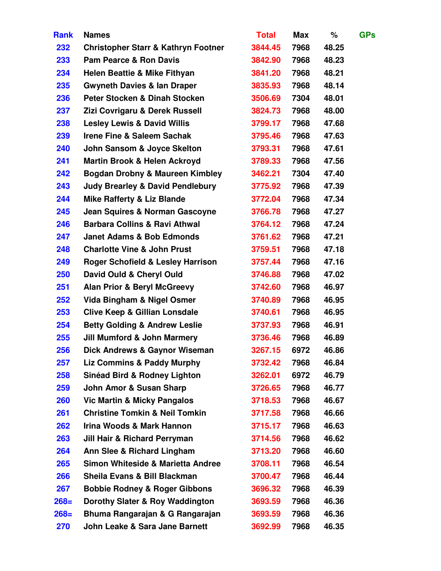| <b>Rank</b> | <b>Names</b>                                   | <b>Total</b> | <b>Max</b> | %     | <b>GPs</b> |
|-------------|------------------------------------------------|--------------|------------|-------|------------|
| 232         | <b>Christopher Starr &amp; Kathryn Footner</b> | 3844.45      | 7968       | 48.25 |            |
| 233         | <b>Pam Pearce &amp; Ron Davis</b>              | 3842.90      | 7968       | 48.23 |            |
| 234         | <b>Helen Beattie &amp; Mike Fithyan</b>        | 3841.20      | 7968       | 48.21 |            |
| 235         | <b>Gwyneth Davies &amp; lan Draper</b>         | 3835.93      | 7968       | 48.14 |            |
| 236         | Peter Stocken & Dinah Stocken                  | 3506.69      | 7304       | 48.01 |            |
| 237         | Zizi Covrigaru & Derek Russell                 | 3824.73      | 7968       | 48.00 |            |
| 238         | <b>Lesley Lewis &amp; David Willis</b>         | 3799.17      | 7968       | 47.68 |            |
| 239         | <b>Irene Fine &amp; Saleem Sachak</b>          | 3795.46      | 7968       | 47.63 |            |
| 240         | John Sansom & Joyce Skelton                    | 3793.31      | 7968       | 47.61 |            |
| 241         | <b>Martin Brook &amp; Helen Ackroyd</b>        | 3789.33      | 7968       | 47.56 |            |
| 242         | <b>Bogdan Drobny &amp; Maureen Kimbley</b>     | 3462.21      | 7304       | 47.40 |            |
| 243         | <b>Judy Brearley &amp; David Pendlebury</b>    | 3775.92      | 7968       | 47.39 |            |
| 244         | <b>Mike Rafferty &amp; Liz Blande</b>          | 3772.04      | 7968       | 47.34 |            |
| 245         | <b>Jean Squires &amp; Norman Gascoyne</b>      | 3766.78      | 7968       | 47.27 |            |
| 246         | <b>Barbara Collins &amp; Ravi Athwal</b>       | 3764.12      | 7968       | 47.24 |            |
| 247         | <b>Janet Adams &amp; Bob Edmonds</b>           | 3761.62      | 7968       | 47.21 |            |
| 248         | <b>Charlotte Vine &amp; John Prust</b>         | 3759.51      | 7968       | 47.18 |            |
| 249         | <b>Roger Schofield &amp; Lesley Harrison</b>   | 3757.44      | 7968       | 47.16 |            |
| 250         | David Ould & Cheryl Ould                       | 3746.88      | 7968       | 47.02 |            |
| 251         | <b>Alan Prior &amp; Beryl McGreevy</b>         | 3742.60      | 7968       | 46.97 |            |
| 252         | Vida Bingham & Nigel Osmer                     | 3740.89      | 7968       | 46.95 |            |
| 253         | <b>Clive Keep &amp; Gillian Lonsdale</b>       | 3740.61      | 7968       | 46.95 |            |
| 254         | <b>Betty Golding &amp; Andrew Leslie</b>       | 3737.93      | 7968       | 46.91 |            |
| 255         | <b>Jill Mumford &amp; John Marmery</b>         | 3736.46      | 7968       | 46.89 |            |
| 256         | <b>Dick Andrews &amp; Gaynor Wiseman</b>       | 3267.15      | 6972       | 46.86 |            |
| 257         | Liz Commins & Paddy Murphy                     | 3732.42      | 7968       | 46.84 |            |
| 258         | <b>Sinéad Bird &amp; Rodney Lighton</b>        | 3262.01      | 6972       | 46.79 |            |
| 259         | <b>John Amor &amp; Susan Sharp</b>             | 3726.65      | 7968       | 46.77 |            |
| <b>260</b>  | <b>Vic Martin &amp; Micky Pangalos</b>         | 3718.53      | 7968       | 46.67 |            |
| 261         | <b>Christine Tomkin &amp; Neil Tomkin</b>      | 3717.58      | 7968       | 46.66 |            |
| 262         | Irina Woods & Mark Hannon                      | 3715.17      | 7968       | 46.63 |            |
| 263         | <b>Jill Hair &amp; Richard Perryman</b>        | 3714.56      | 7968       | 46.62 |            |
| 264         | Ann Slee & Richard Lingham                     | 3713.20      | 7968       | 46.60 |            |
| 265         | <b>Simon Whiteside &amp; Marietta Andree</b>   | 3708.11      | 7968       | 46.54 |            |
| 266         | Sheila Evans & Bill Blackman                   | 3700.47      | 7968       | 46.44 |            |
| 267         | <b>Bobbie Rodney &amp; Roger Gibbons</b>       | 3696.32      | 7968       | 46.39 |            |
| $268=$      | Dorothy Slater & Roy Waddington                | 3693.59      | 7968       | 46.36 |            |
| $268=$      | Bhuma Rangarajan & G Rangarajan                | 3693.59      | 7968       | 46.36 |            |
| 270         | John Leake & Sara Jane Barnett                 | 3692.99      | 7968       | 46.35 |            |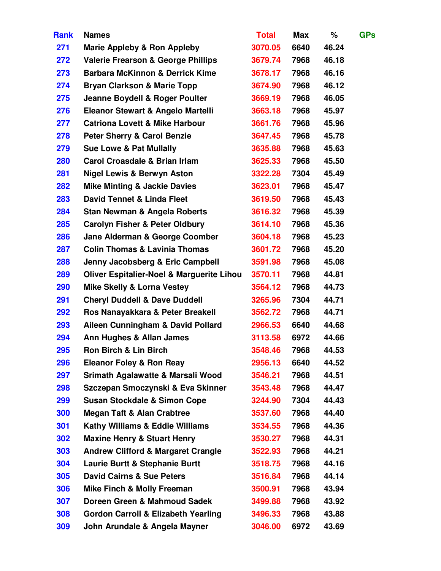| <b>Rank</b> | <b>Names</b>                                         | <b>Total</b> | <b>Max</b> | %     | <b>GPs</b> |
|-------------|------------------------------------------------------|--------------|------------|-------|------------|
| 271         | <b>Marie Appleby &amp; Ron Appleby</b>               | 3070.05      | 6640       | 46.24 |            |
| 272         | <b>Valerie Frearson &amp; George Phillips</b>        | 3679.74      | 7968       | 46.18 |            |
| 273         | <b>Barbara McKinnon &amp; Derrick Kime</b>           | 3678.17      | 7968       | 46.16 |            |
| 274         | <b>Bryan Clarkson &amp; Marie Topp</b>               | 3674.90      | 7968       | 46.12 |            |
| 275         | Jeanne Boydell & Roger Poulter                       | 3669.19      | 7968       | 46.05 |            |
| 276         | Eleanor Stewart & Angelo Martelli                    | 3663.18      | 7968       | 45.97 |            |
| 277         | <b>Catriona Lovett &amp; Mike Harbour</b>            | 3661.76      | 7968       | 45.96 |            |
| 278         | <b>Peter Sherry &amp; Carol Benzie</b>               | 3647.45      | 7968       | 45.78 |            |
| 279         | <b>Sue Lowe &amp; Pat Mullally</b>                   | 3635.88      | 7968       | 45.63 |            |
| <b>280</b>  | <b>Carol Croasdale &amp; Brian Irlam</b>             | 3625.33      | 7968       | 45.50 |            |
| 281         | <b>Nigel Lewis &amp; Berwyn Aston</b>                | 3322.28      | 7304       | 45.49 |            |
| 282         | <b>Mike Minting &amp; Jackie Davies</b>              | 3623.01      | 7968       | 45.47 |            |
| 283         | David Tennet & Linda Fleet                           | 3619.50      | 7968       | 45.43 |            |
| 284         | <b>Stan Newman &amp; Angela Roberts</b>              | 3616.32      | 7968       | 45.39 |            |
| 285         | <b>Carolyn Fisher &amp; Peter Oldbury</b>            | 3614.10      | 7968       | 45.36 |            |
| 286         | Jane Alderman & George Coomber                       | 3604.18      | 7968       | 45.23 |            |
| 287         | <b>Colin Thomas &amp; Lavinia Thomas</b>             | 3601.72      | 7968       | 45.20 |            |
| 288         | Jenny Jacobsberg & Eric Campbell                     | 3591.98      | 7968       | 45.08 |            |
| 289         | <b>Oliver Espitalier-Noel &amp; Marguerite Lihou</b> | 3570.11      | 7968       | 44.81 |            |
| 290         | <b>Mike Skelly &amp; Lorna Vestey</b>                | 3564.12      | 7968       | 44.73 |            |
| 291         | <b>Cheryl Duddell &amp; Dave Duddell</b>             | 3265.96      | 7304       | 44.71 |            |
| 292         | Ros Nanayakkara & Peter Breakell                     | 3562.72      | 7968       | 44.71 |            |
| 293         | Aileen Cunningham & David Pollard                    | 2966.53      | 6640       | 44.68 |            |
| 294         | <b>Ann Hughes &amp; Allan James</b>                  | 3113.58      | 6972       | 44.66 |            |
| 295         | <b>Ron Birch &amp; Lin Birch</b>                     | 3548.46      | 7968       | 44.53 |            |
| 296         | <b>Eleanor Foley &amp; Ron Reay</b>                  | 2956.13      | 6640       | 44.52 |            |
| 297         | Srimath Agalawatte & Marsali Wood                    | 3546.21      | 7968       | 44.51 |            |
| 298         | Szczepan Smoczynski & Eva Skinner                    | 3543.48      | 7968       | 44.47 |            |
| 299         | <b>Susan Stockdale &amp; Simon Cope</b>              | 3244.90      | 7304       | 44.43 |            |
| 300         | <b>Megan Taft &amp; Alan Crabtree</b>                | 3537.60      | 7968       | 44.40 |            |
| 301         | <b>Kathy Williams &amp; Eddie Williams</b>           | 3534.55      | 7968       | 44.36 |            |
| 302         | <b>Maxine Henry &amp; Stuart Henry</b>               | 3530.27      | 7968       | 44.31 |            |
| 303         | <b>Andrew Clifford &amp; Margaret Crangle</b>        | 3522.93      | 7968       | 44.21 |            |
| 304         | <b>Laurie Burtt &amp; Stephanie Burtt</b>            | 3518.75      | 7968       | 44.16 |            |
| 305         | <b>David Cairns &amp; Sue Peters</b>                 | 3516.84      | 7968       | 44.14 |            |
| 306         | <b>Mike Finch &amp; Molly Freeman</b>                | 3500.91      | 7968       | 43.94 |            |
| 307         | Doreen Green & Mahmoud Sadek                         | 3499.88      | 7968       | 43.92 |            |
| 308         | <b>Gordon Carroll &amp; Elizabeth Yearling</b>       | 3496.33      | 7968       | 43.88 |            |
| 309         | John Arundale & Angela Mayner                        | 3046.00      | 6972       | 43.69 |            |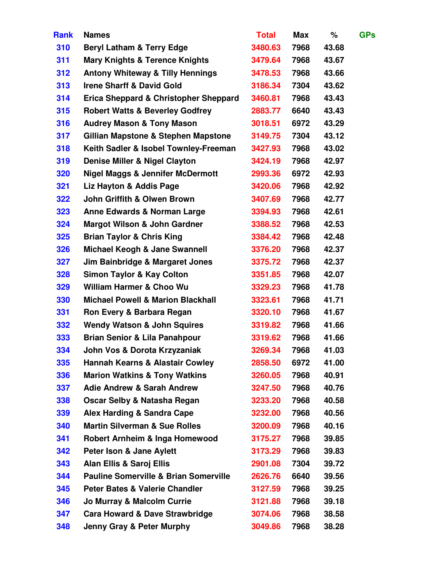| <b>Rank</b> | <b>Names</b>                                     | <b>Total</b> | Max  | %     | <b>GPs</b> |
|-------------|--------------------------------------------------|--------------|------|-------|------------|
| 310         | <b>Beryl Latham &amp; Terry Edge</b>             | 3480.63      | 7968 | 43.68 |            |
| 311         | <b>Mary Knights &amp; Terence Knights</b>        | 3479.64      | 7968 | 43.67 |            |
| 312         | <b>Antony Whiteway &amp; Tilly Hennings</b>      | 3478.53      | 7968 | 43.66 |            |
| 313         | <b>Irene Sharff &amp; David Gold</b>             | 3186.34      | 7304 | 43.62 |            |
| 314         | <b>Erica Sheppard &amp; Christopher Sheppard</b> | 3460.81      | 7968 | 43.43 |            |
| 315         | <b>Robert Watts &amp; Beverley Godfrey</b>       | 2883.77      | 6640 | 43.43 |            |
| 316         | <b>Audrey Mason &amp; Tony Mason</b>             | 3018.51      | 6972 | 43.29 |            |
| 317         | Gillian Mapstone & Stephen Mapstone              | 3149.75      | 7304 | 43.12 |            |
| 318         | Keith Sadler & Isobel Townley-Freeman            | 3427.93      | 7968 | 43.02 |            |
| 319         | Denise Miller & Nigel Clayton                    | 3424.19      | 7968 | 42.97 |            |
| 320         | <b>Nigel Maggs &amp; Jennifer McDermott</b>      | 2993.36      | 6972 | 42.93 |            |
| 321         | Liz Hayton & Addis Page                          | 3420.06      | 7968 | 42.92 |            |
| 322         | John Griffith & Olwen Brown                      | 3407.69      | 7968 | 42.77 |            |
| 323         | <b>Anne Edwards &amp; Norman Large</b>           | 3394.93      | 7968 | 42.61 |            |
| 324         | <b>Margot Wilson &amp; John Gardner</b>          | 3388.52      | 7968 | 42.53 |            |
| 325         | <b>Brian Taylor &amp; Chris King</b>             | 3384.42      | 7968 | 42.48 |            |
| 326         | Michael Keogh & Jane Swannell                    | 3376.20      | 7968 | 42.37 |            |
| 327         | Jim Bainbridge & Margaret Jones                  | 3375.72      | 7968 | 42.37 |            |
| 328         | <b>Simon Taylor &amp; Kay Colton</b>             | 3351.85      | 7968 | 42.07 |            |
| 329         | <b>William Harmer &amp; Choo Wu</b>              | 3329.23      | 7968 | 41.78 |            |
| 330         | <b>Michael Powell &amp; Marion Blackhall</b>     | 3323.61      | 7968 | 41.71 |            |
| 331         | Ron Every & Barbara Regan                        | 3320.10      | 7968 | 41.67 |            |
| 332         | <b>Wendy Watson &amp; John Squires</b>           | 3319.82      | 7968 | 41.66 |            |
| 333         | <b>Brian Senior &amp; Lila Panahpour</b>         | 3319.62      | 7968 | 41.66 |            |
| 334         | John Vos & Dorota Krzyzaniak                     | 3269.34      | 7968 | 41.03 |            |
| 335         | <b>Hannah Kearns &amp; Alastair Cowley</b>       | 2858.50      | 6972 | 41.00 |            |
| 336         | <b>Marion Watkins &amp; Tony Watkins</b>         | 3260.05      | 7968 | 40.91 |            |
| 337         | <b>Adie Andrew &amp; Sarah Andrew</b>            | 3247.50      | 7968 | 40.76 |            |
| 338         | Oscar Selby & Natasha Regan                      | 3233.20      | 7968 | 40.58 |            |
| 339         | Alex Harding & Sandra Cape                       | 3232.00      | 7968 | 40.56 |            |
| 340         | <b>Martin Silverman &amp; Sue Rolles</b>         | 3200.09      | 7968 | 40.16 |            |
| 341         | Robert Arnheim & Inga Homewood                   | 3175.27      | 7968 | 39.85 |            |
| 342         | Peter Ison & Jane Aylett                         | 3173.29      | 7968 | 39.83 |            |
| 343         | <b>Alan Ellis &amp; Saroj Ellis</b>              | 2901.08      | 7304 | 39.72 |            |
| 344         | <b>Pauline Somerville &amp; Brian Somerville</b> | 2626.76      | 6640 | 39.56 |            |
| 345         | <b>Peter Bates &amp; Valerie Chandler</b>        | 3127.59      | 7968 | 39.25 |            |
| 346         | Jo Murray & Malcolm Currie                       | 3121.88      | 7968 | 39.18 |            |
| 347         | Cara Howard & Dave Strawbridge                   | 3074.06      | 7968 | 38.58 |            |
| 348         | <b>Jenny Gray &amp; Peter Murphy</b>             | 3049.86      | 7968 | 38.28 |            |